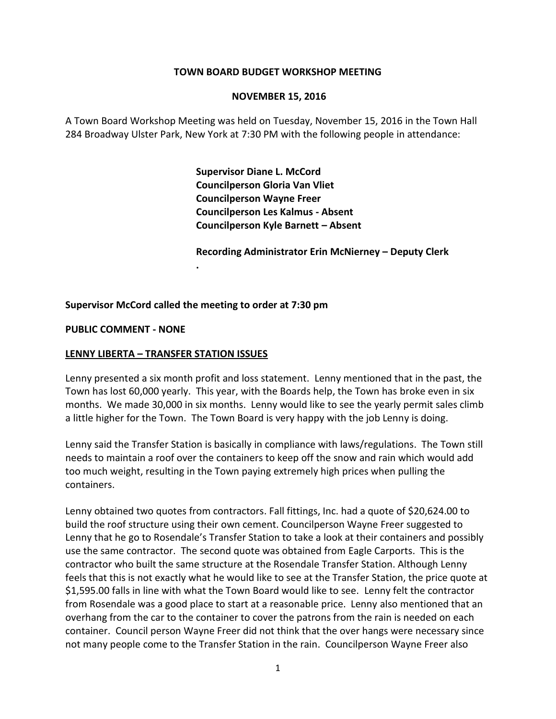#### **TOWN BOARD BUDGET WORKSHOP MEETING**

#### **NOVEMBER 15, 2016**

A Town Board Workshop Meeting was held on Tuesday, November 15, 2016 in the Town Hall 284 Broadway Ulster Park, New York at 7:30 PM with the following people in attendance:

> **Supervisor Diane L. McCord Councilperson Gloria Van Vliet Councilperson Wayne Freer Councilperson Les Kalmus - Absent Councilperson Kyle Barnett – Absent**

**Recording Administrator Erin McNierney – Deputy Clerk**

#### **Supervisor McCord called the meeting to order at 7:30 pm**

**.**

#### **PUBLIC COMMENT - NONE**

#### **LENNY LIBERTA – TRANSFER STATION ISSUES**

Lenny presented a six month profit and loss statement. Lenny mentioned that in the past, the Town has lost 60,000 yearly. This year, with the Boards help, the Town has broke even in six months. We made 30,000 in six months. Lenny would like to see the yearly permit sales climb a little higher for the Town. The Town Board is very happy with the job Lenny is doing.

Lenny said the Transfer Station is basically in compliance with laws/regulations. The Town still needs to maintain a roof over the containers to keep off the snow and rain which would add too much weight, resulting in the Town paying extremely high prices when pulling the containers.

Lenny obtained two quotes from contractors. Fall fittings, Inc. had a quote of \$20,624.00 to build the roof structure using their own cement. Councilperson Wayne Freer suggested to Lenny that he go to Rosendale's Transfer Station to take a look at their containers and possibly use the same contractor. The second quote was obtained from Eagle Carports. This is the contractor who built the same structure at the Rosendale Transfer Station. Although Lenny feels that this is not exactly what he would like to see at the Transfer Station, the price quote at \$1,595.00 falls in line with what the Town Board would like to see. Lenny felt the contractor from Rosendale was a good place to start at a reasonable price. Lenny also mentioned that an overhang from the car to the container to cover the patrons from the rain is needed on each container. Council person Wayne Freer did not think that the over hangs were necessary since not many people come to the Transfer Station in the rain. Councilperson Wayne Freer also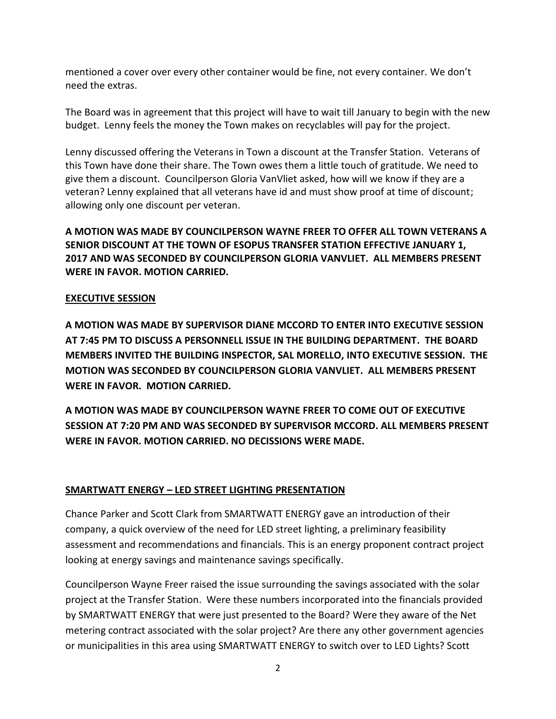mentioned a cover over every other container would be fine, not every container. We don't need the extras.

The Board was in agreement that this project will have to wait till January to begin with the new budget. Lenny feels the money the Town makes on recyclables will pay for the project.

Lenny discussed offering the Veterans in Town a discount at the Transfer Station. Veterans of this Town have done their share. The Town owes them a little touch of gratitude. We need to give them a discount. Councilperson Gloria VanVliet asked, how will we know if they are a veteran? Lenny explained that all veterans have id and must show proof at time of discount; allowing only one discount per veteran.

**A MOTION WAS MADE BY COUNCILPERSON WAYNE FREER TO OFFER ALL TOWN VETERANS A SENIOR DISCOUNT AT THE TOWN OF ESOPUS TRANSFER STATION EFFECTIVE JANUARY 1, 2017 AND WAS SECONDED BY COUNCILPERSON GLORIA VANVLIET. ALL MEMBERS PRESENT WERE IN FAVOR. MOTION CARRIED.**

### **EXECUTIVE SESSION**

**A MOTION WAS MADE BY SUPERVISOR DIANE MCCORD TO ENTER INTO EXECUTIVE SESSION AT 7:45 PM TO DISCUSS A PERSONNELL ISSUE IN THE BUILDING DEPARTMENT. THE BOARD MEMBERS INVITED THE BUILDING INSPECTOR, SAL MORELLO, INTO EXECUTIVE SESSION. THE MOTION WAS SECONDED BY COUNCILPERSON GLORIA VANVLIET. ALL MEMBERS PRESENT WERE IN FAVOR. MOTION CARRIED.** 

**A MOTION WAS MADE BY COUNCILPERSON WAYNE FREER TO COME OUT OF EXECUTIVE SESSION AT 7:20 PM AND WAS SECONDED BY SUPERVISOR MCCORD. ALL MEMBERS PRESENT WERE IN FAVOR. MOTION CARRIED. NO DECISSIONS WERE MADE.**

### **SMARTWATT ENERGY – LED STREET LIGHTING PRESENTATION**

Chance Parker and Scott Clark from SMARTWATT ENERGY gave an introduction of their company, a quick overview of the need for LED street lighting, a preliminary feasibility assessment and recommendations and financials. This is an energy proponent contract project looking at energy savings and maintenance savings specifically.

Councilperson Wayne Freer raised the issue surrounding the savings associated with the solar project at the Transfer Station. Were these numbers incorporated into the financials provided by SMARTWATT ENERGY that were just presented to the Board? Were they aware of the Net metering contract associated with the solar project? Are there any other government agencies or municipalities in this area using SMARTWATT ENERGY to switch over to LED Lights? Scott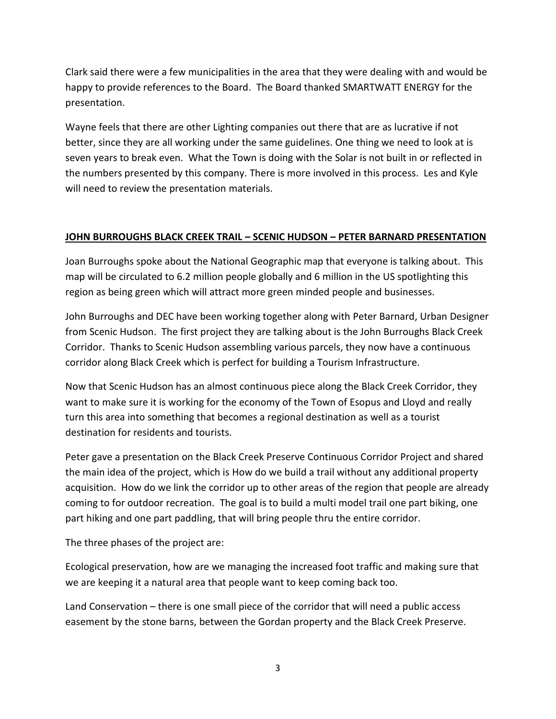Clark said there were a few municipalities in the area that they were dealing with and would be happy to provide references to the Board. The Board thanked SMARTWATT ENERGY for the presentation.

Wayne feels that there are other Lighting companies out there that are as lucrative if not better, since they are all working under the same guidelines. One thing we need to look at is seven years to break even. What the Town is doing with the Solar is not built in or reflected in the numbers presented by this company. There is more involved in this process. Les and Kyle will need to review the presentation materials.

## **JOHN BURROUGHS BLACK CREEK TRAIL – SCENIC HUDSON – PETER BARNARD PRESENTATION**

Joan Burroughs spoke about the National Geographic map that everyone is talking about. This map will be circulated to 6.2 million people globally and 6 million in the US spotlighting this region as being green which will attract more green minded people and businesses.

John Burroughs and DEC have been working together along with Peter Barnard, Urban Designer from Scenic Hudson. The first project they are talking about is the John Burroughs Black Creek Corridor. Thanks to Scenic Hudson assembling various parcels, they now have a continuous corridor along Black Creek which is perfect for building a Tourism Infrastructure.

Now that Scenic Hudson has an almost continuous piece along the Black Creek Corridor, they want to make sure it is working for the economy of the Town of Esopus and Lloyd and really turn this area into something that becomes a regional destination as well as a tourist destination for residents and tourists.

Peter gave a presentation on the Black Creek Preserve Continuous Corridor Project and shared the main idea of the project, which is How do we build a trail without any additional property acquisition. How do we link the corridor up to other areas of the region that people are already coming to for outdoor recreation. The goal is to build a multi model trail one part biking, one part hiking and one part paddling, that will bring people thru the entire corridor.

The three phases of the project are:

Ecological preservation, how are we managing the increased foot traffic and making sure that we are keeping it a natural area that people want to keep coming back too.

Land Conservation – there is one small piece of the corridor that will need a public access easement by the stone barns, between the Gordan property and the Black Creek Preserve.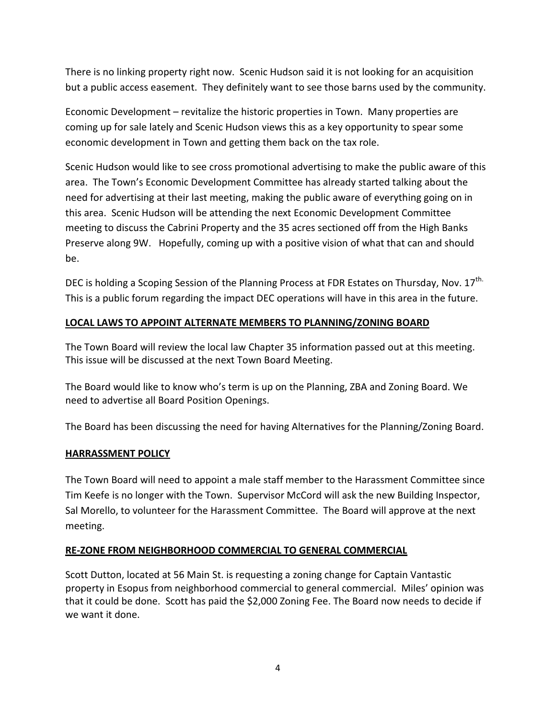There is no linking property right now. Scenic Hudson said it is not looking for an acquisition but a public access easement. They definitely want to see those barns used by the community.

Economic Development – revitalize the historic properties in Town. Many properties are coming up for sale lately and Scenic Hudson views this as a key opportunity to spear some economic development in Town and getting them back on the tax role.

Scenic Hudson would like to see cross promotional advertising to make the public aware of this area. The Town's Economic Development Committee has already started talking about the need for advertising at their last meeting, making the public aware of everything going on in this area. Scenic Hudson will be attending the next Economic Development Committee meeting to discuss the Cabrini Property and the 35 acres sectioned off from the High Banks Preserve along 9W. Hopefully, coming up with a positive vision of what that can and should be.

DEC is holding a Scoping Session of the Planning Process at FDR Estates on Thursday, Nov. 17<sup>th.</sup> This is a public forum regarding the impact DEC operations will have in this area in the future.

### **LOCAL LAWS TO APPOINT ALTERNATE MEMBERS TO PLANNING/ZONING BOARD**

The Town Board will review the local law Chapter 35 information passed out at this meeting. This issue will be discussed at the next Town Board Meeting.

The Board would like to know who's term is up on the Planning, ZBA and Zoning Board. We need to advertise all Board Position Openings.

The Board has been discussing the need for having Alternatives for the Planning/Zoning Board.

### **HARRASSMENT POLICY**

The Town Board will need to appoint a male staff member to the Harassment Committee since Tim Keefe is no longer with the Town. Supervisor McCord will ask the new Building Inspector, Sal Morello, to volunteer for the Harassment Committee. The Board will approve at the next meeting.

# **RE-ZONE FROM NEIGHBORHOOD COMMERCIAL TO GENERAL COMMERCIAL**

Scott Dutton, located at 56 Main St. is requesting a zoning change for Captain Vantastic property in Esopus from neighborhood commercial to general commercial. Miles' opinion was that it could be done. Scott has paid the \$2,000 Zoning Fee. The Board now needs to decide if we want it done.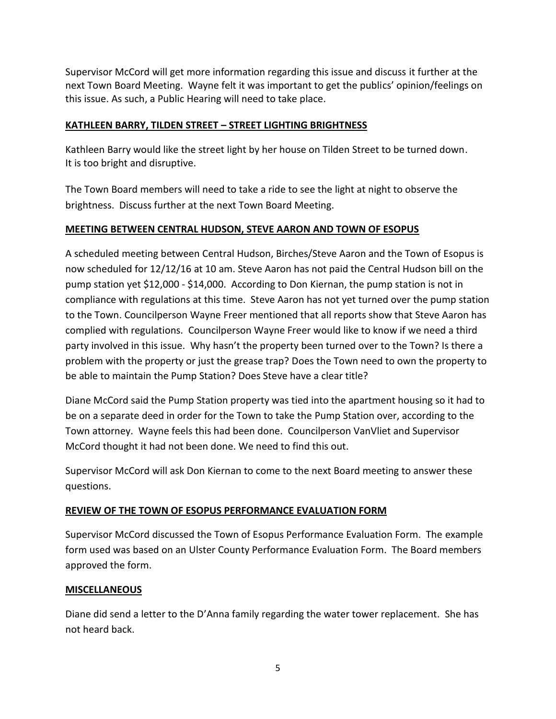Supervisor McCord will get more information regarding this issue and discuss it further at the next Town Board Meeting. Wayne felt it was important to get the publics' opinion/feelings on this issue. As such, a Public Hearing will need to take place.

### **KATHLEEN BARRY, TILDEN STREET – STREET LIGHTING BRIGHTNESS**

Kathleen Barry would like the street light by her house on Tilden Street to be turned down. It is too bright and disruptive.

The Town Board members will need to take a ride to see the light at night to observe the brightness. Discuss further at the next Town Board Meeting.

### **MEETING BETWEEN CENTRAL HUDSON, STEVE AARON AND TOWN OF ESOPUS**

A scheduled meeting between Central Hudson, Birches/Steve Aaron and the Town of Esopus is now scheduled for 12/12/16 at 10 am. Steve Aaron has not paid the Central Hudson bill on the pump station yet \$12,000 - \$14,000. According to Don Kiernan, the pump station is not in compliance with regulations at this time. Steve Aaron has not yet turned over the pump station to the Town. Councilperson Wayne Freer mentioned that all reports show that Steve Aaron has complied with regulations. Councilperson Wayne Freer would like to know if we need a third party involved in this issue. Why hasn't the property been turned over to the Town? Is there a problem with the property or just the grease trap? Does the Town need to own the property to be able to maintain the Pump Station? Does Steve have a clear title?

Diane McCord said the Pump Station property was tied into the apartment housing so it had to be on a separate deed in order for the Town to take the Pump Station over, according to the Town attorney. Wayne feels this had been done. Councilperson VanVliet and Supervisor McCord thought it had not been done. We need to find this out.

Supervisor McCord will ask Don Kiernan to come to the next Board meeting to answer these questions.

#### **REVIEW OF THE TOWN OF ESOPUS PERFORMANCE EVALUATION FORM**

Supervisor McCord discussed the Town of Esopus Performance Evaluation Form. The example form used was based on an Ulster County Performance Evaluation Form. The Board members approved the form.

#### **MISCELLANEOUS**

Diane did send a letter to the D'Anna family regarding the water tower replacement. She has not heard back.